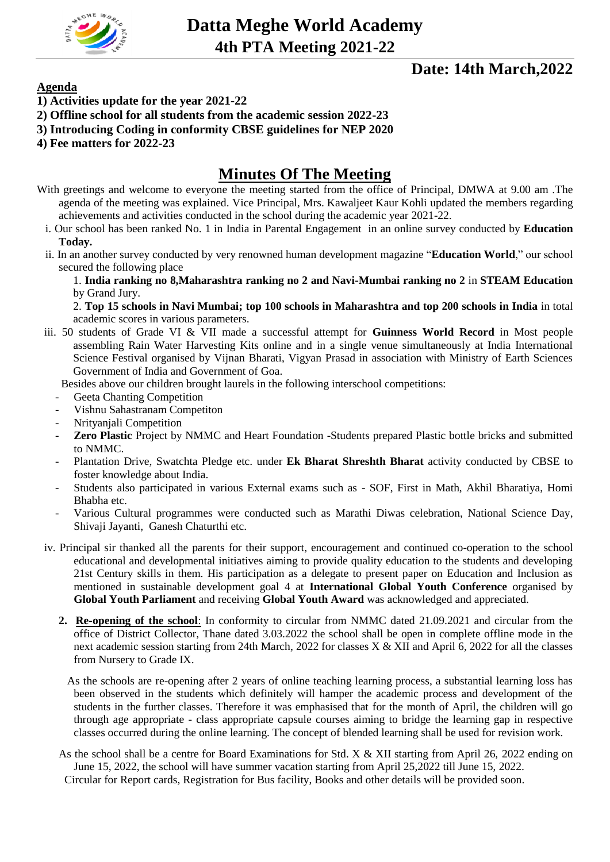

# **Date: 14th March,2022**

### **Agenda**

- **1) Activities update for the year 2021-22**
- **2) Offline school for all students from the academic session 2022-23**
- **3) Introducing Coding in conformity CBSE guidelines for NEP 2020**
- **4) Fee matters for 2022-23**

# **Minutes Of The Meeting**

- With greetings and welcome to everyone the meeting started from the office of Principal, DMWA at 9.00 am .The agenda of the meeting was explained. Vice Principal, Mrs. Kawaljeet Kaur Kohli updated the members regarding achievements and activities conducted in the school during the academic year 2021-22.
	- i. Our school has been ranked No. 1 in India in Parental Engagement in an online survey conducted by **Education Today.**
	- ii. In an another survey conducted by very renowned human development magazine "**Education World**," our school secured the following place

1. **India ranking no 8,Maharashtra ranking no 2 and Navi-Mumbai ranking no 2** in **STEAM Education** by Grand Jury.

2. **Top 15 schools in Navi Mumbai; top 100 schools in Maharashtra and top 200 schools in India** in total academic scores in various parameters.

iii. 50 students of Grade VI & VII made a successful attempt for **Guinness World Record** in Most people assembling Rain Water Harvesting Kits online and in a single venue simultaneously at India International Science Festival organised by Vijnan Bharati, Vigyan Prasad in association with Ministry of Earth Sciences Government of India and Government of Goa.

Besides above our children brought laurels in the following interschool competitions:

- Geeta Chanting Competition
- Vishnu Sahastranam Competiton
- Nrityanjali Competition
- **Zero Plastic** Project by NMMC and Heart Foundation -Students prepared Plastic bottle bricks and submitted to NMMC.
- Plantation Drive, Swatchta Pledge etc. under **Ek Bharat Shreshth Bharat** activity conducted by CBSE to foster knowledge about India.
- Students also participated in various External exams such as SOF, First in Math, Akhil Bharatiya, Homi Bhabha etc.
- Various Cultural programmes were conducted such as Marathi Diwas celebration, National Science Day, Shivaji Jayanti, Ganesh Chaturthi etc.
- iv. Principal sir thanked all the parents for their support, encouragement and continued co-operation to the school educational and developmental initiatives aiming to provide quality education to the students and developing 21st Century skills in them. His participation as a delegate to present paper on Education and Inclusion as mentioned in sustainable development goal 4 at **International Global Youth Conference** organised by **Global Youth Parliament** and receiving **Global Youth Award** was acknowledged and appreciated.
	- **2. Re-opening of the school**: In conformity to circular from NMMC dated 21.09.2021 and circular from the office of District Collector, Thane dated 3.03.2022 the school shall be open in complete offline mode in the next academic session starting from 24th March, 2022 for classes X & XII and April 6, 2022 for all the classes from Nursery to Grade IX.

 As the schools are re-opening after 2 years of online teaching learning process, a substantial learning loss has been observed in the students which definitely will hamper the academic process and development of the students in the further classes. Therefore it was emphasised that for the month of April, the children will go through age appropriate - class appropriate capsule courses aiming to bridge the learning gap in respective classes occurred during the online learning. The concept of blended learning shall be used for revision work.

As the school shall be a centre for Board Examinations for Std. X & XII starting from April 26, 2022 ending on June 15, 2022, the school will have summer vacation starting from April 25,2022 till June 15, 2022. Circular for Report cards, Registration for Bus facility, Books and other details will be provided soon.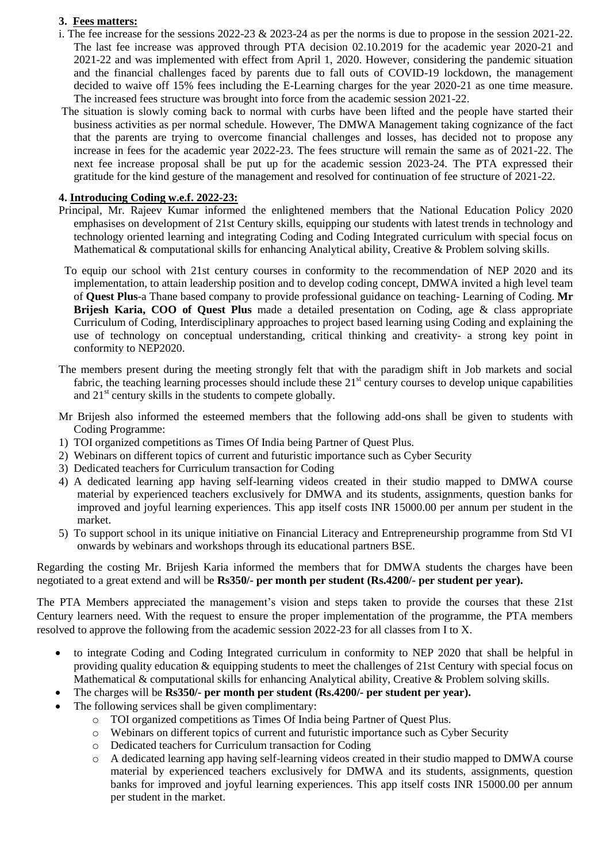#### **3. Fees matters:**

- i. The fee increase for the sessions  $2022-23 \& 2023-24$  as per the norms is due to propose in the session  $2021-22$ . The last fee increase was approved through PTA decision 02.10.2019 for the academic year 2020-21 and 2021-22 and was implemented with effect from April 1, 2020. However, considering the pandemic situation and the financial challenges faced by parents due to fall outs of COVID-19 lockdown, the management decided to waive off 15% fees including the E-Learning charges for the year 2020-21 as one time measure. The increased fees structure was brought into force from the academic session 2021-22.
- The situation is slowly coming back to normal with curbs have been lifted and the people have started their business activities as per normal schedule. However, The DMWA Management taking cognizance of the fact that the parents are trying to overcome financial challenges and losses, has decided not to propose any increase in fees for the academic year 2022-23. The fees structure will remain the same as of 2021-22. The next fee increase proposal shall be put up for the academic session 2023-24. The PTA expressed their gratitude for the kind gesture of the management and resolved for continuation of fee structure of 2021-22.

#### **4. Introducing Coding w.e.f. 2022-23:**

- Principal, Mr. Rajeev Kumar informed the enlightened members that the National Education Policy 2020 emphasises on development of 21st Century skills, equipping our students with latest trends in technology and technology oriented learning and integrating Coding and Coding Integrated curriculum with special focus on Mathematical & computational skills for enhancing Analytical ability, Creative & Problem solving skills.
- To equip our school with 21st century courses in conformity to the recommendation of NEP 2020 and its implementation, to attain leadership position and to develop coding concept, DMWA invited a high level team of **Quest Plus**-a Thane based company to provide professional guidance on teaching- Learning of Coding. **Mr Brijesh Karia, COO of Quest Plus** made a detailed presentation on Coding, age & class appropriate Curriculum of Coding, Interdisciplinary approaches to project based learning using Coding and explaining the use of technology on conceptual understanding, critical thinking and creativity- a strong key point in conformity to NEP2020.
- The members present during the meeting strongly felt that with the paradigm shift in Job markets and social fabric, the teaching learning processes should include these  $21<sup>st</sup>$  century courses to develop unique capabilities and 21<sup>st</sup> century skills in the students to compete globally.
- Mr Brijesh also informed the esteemed members that the following add-ons shall be given to students with Coding Programme:
- 1) TOI organized competitions as Times Of India being Partner of Quest Plus.
- 2) Webinars on different topics of current and futuristic importance such as Cyber Security
- 3) Dedicated teachers for Curriculum transaction for Coding
- 4) A dedicated learning app having self-learning videos created in their studio mapped to DMWA course material by experienced teachers exclusively for DMWA and its students, assignments, question banks for improved and joyful learning experiences. This app itself costs INR 15000.00 per annum per student in the market.
- 5) To support school in its unique initiative on Financial Literacy and Entrepreneurship programme from Std VI onwards by webinars and workshops through its educational partners BSE.

Regarding the costing Mr. Brijesh Karia informed the members that for DMWA students the charges have been negotiated to a great extend and will be **Rs350/- per month per student (Rs.4200/- per student per year).**

The PTA Members appreciated the management's vision and steps taken to provide the courses that these 21st Century learners need. With the request to ensure the proper implementation of the programme, the PTA members resolved to approve the following from the academic session 2022-23 for all classes from I to X.

- to integrate Coding and Coding Integrated curriculum in conformity to NEP 2020 that shall be helpful in providing quality education & equipping students to meet the challenges of 21st Century with special focus on Mathematical & computational skills for enhancing Analytical ability, Creative & Problem solving skills.
- The charges will be **Rs350/- per month per student (Rs.4200/- per student per year).**
- The following services shall be given complimentary:
	- o TOI organized competitions as Times Of India being Partner of Quest Plus.
	- o Webinars on different topics of current and futuristic importance such as Cyber Security
	- o Dedicated teachers for Curriculum transaction for Coding
	- o A dedicated learning app having self-learning videos created in their studio mapped to DMWA course material by experienced teachers exclusively for DMWA and its students, assignments, question banks for improved and joyful learning experiences. This app itself costs INR 15000.00 per annum per student in the market.